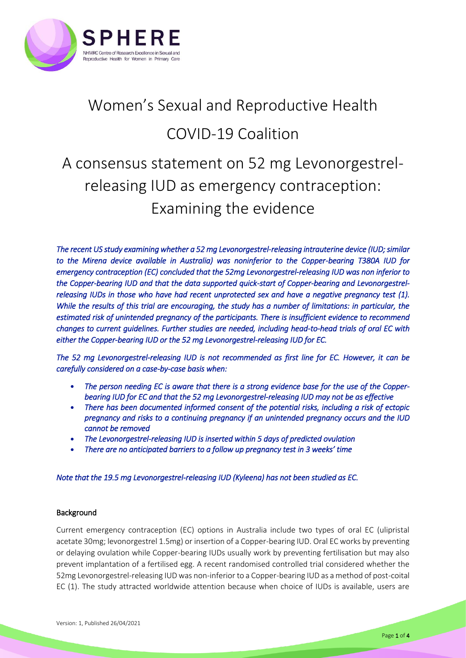

## Women's Sexual and Reproductive Health COVID-19 Coalition A consensus statement on 52 mg Levonorgestrelreleasing IUD as emergency contraception: Examining the evidence

*The recent US study examining whether a 52 mg Levonorgestrel-releasing intrauterine device (IUD; similar to the Mirena device available in Australia) was noninferior to the Copper-bearing T380A IUD for emergency contraception (EC) concluded that the 52mg Levonorgestrel-releasing IUD was non inferior to the Copper-bearing IUD and that the data supported quick-start of Copper-bearing and Levonorgestrel-releasing IUDs in those who have had recent unprotected sex and have a negative pregnancy test [\(1\)](#page-3-0). While the results of this trial are encouraging, the study has a number of limitations: in particular, the estimated risk of unintended pregnancy of the participants. There is insufficient evidence to recommend changes to current guidelines. Further studies are needed, including head-to-head trials of oral EC with either the Copper-bearing IUD or the 52 mg Levonorgestrel-releasing IUD for EC.* 

*The 52 mg Levonorgestrel-releasing IUD is not recommended as first line for EC. However, it can be carefully considered on a case-by-case basis when:* 

- *The person needing EC is aware that there is a strong evidence base for the use of the Copperbearing IUD for EC and that the 52 mg Levonorgestrel-releasing IUD may not be as effective*
- *There has been documented informed consent of the potential risks, including a risk of ectopic pregnancy and risks to a continuing pregnancy if an unintended pregnancy occurs and the IUD cannot be removed*
- *The Levonorgestrel-releasing IUD is inserted within 5 days of predicted ovulation*
- *There are no anticipated barriers to a follow up pregnancy test in 3 weeks' time*

*Note that the 19.5 mg Levonorgestrel-releasing IUD (Kyleena) has not been studied as EC.* 

## Background

Current emergency contraception (EC) options in Australia include two types of oral EC (ulipristal acetate 30mg; levonorgestrel 1.5mg) or insertion of a Copper-bearing IUD. Oral EC works by preventing or delaying ovulation while Copper-bearing IUDs usually work by preventing fertilisation but may also prevent implantation of a fertilised egg. A recent randomised controlled trial considered whether the 52mg Levonorgestrel-releasing IUD was non-inferior to a Copper-bearing IUD as a method of post-coital EC [\(1\)](#page-3-0). The study attracted worldwide attention because when choice of IUDs is available, users are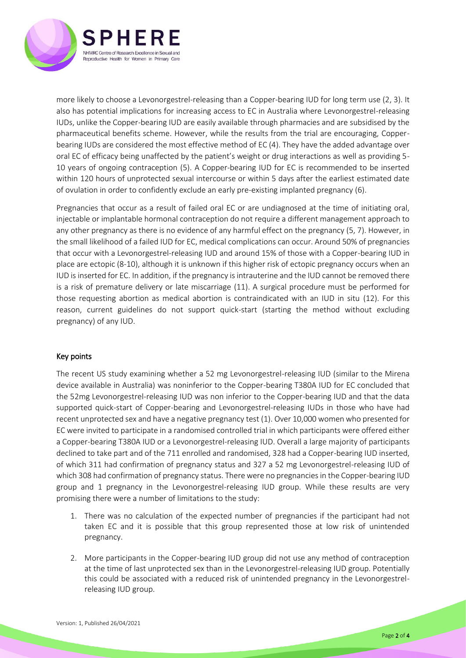

more likely to choose a Levonorgestrel-releasing than a Copper-bearing IUD for long term use [\(2,](#page-3-1) [3\)](#page-3-2). It also has potential implications for increasing access to EC in Australia where Levonorgestrel-releasing IUDs, unlike the Copper-bearing IUD are easily available through pharmacies and are subsidised by the pharmaceutical benefits scheme. However, while the results from the trial are encouraging, Copperbearing IUDs are considered the most effective method of EC [\(4\)](#page-3-3). They have the added advantage over oral EC of efficacy being unaffected by the patient's weight or drug interactions as well as providing 5- 10 years of ongoing contraception [\(5\)](#page-3-4). A Copper-bearing IUD for EC is recommended to be inserted within 120 hours of unprotected sexual intercourse or within 5 days after the earliest estimated date of ovulation in order to confidently exclude an early pre-existing implanted pregnancy [\(6\)](#page-3-5).

Pregnancies that occur as a result of failed oral EC or are undiagnosed at the time of initiating oral, injectable or implantable hormonal contraception do not require a different management approach to any other pregnancy as there is no evidence of any harmful effect on the pregnancy [\(5,](#page-3-4) [7\)](#page-3-6). However, in the small likelihood of a failed IUD for EC, medical complications can occur. Around 50% of pregnancies that occur with a Levonorgestrel-releasing IUD and around 15% of those with a Copper-bearing IUD in place are ectopic [\(8-10\)](#page-3-7), although it is unknown if this higher risk of ectopic pregnancy occurs when an IUD is inserted for EC. In addition, if the pregnancy is intrauterine and the IUD cannot be removed there is a risk of premature delivery or late miscarriage [\(11\)](#page-3-8). A surgical procedure must be performed for those requesting abortion as medical abortion is contraindicated with an IUD in situ [\(12\)](#page-3-9). For this reason, current guidelines do not support quick-start (starting the method without excluding pregnancy) of any IUD.

## Key points

The recent US study examining whether a 52 mg Levonorgestrel-releasing IUD (similar to the Mirena device available in Australia) was noninferior to the Copper-bearing T380A IUD for EC concluded that the 52mg Levonorgestrel-releasing IUD was non inferior to the Copper-bearing IUD and that the data supported quick-start of Copper-bearing and Levonorgestrel-releasing IUDs in those who have had recent unprotected sex and have a negative pregnancy test [\(1\)](#page-3-0). Over 10,000 women who presented for EC were invited to participate in a randomised controlled trial in which participants were offered either a Copper-bearing T380A IUD or a Levonorgestrel-releasing IUD. Overall a large majority of participants declined to take part and of the 711 enrolled and randomised, 328 had a Copper-bearing IUD inserted, of which 311 had confirmation of pregnancy status and 327 a 52 mg Levonorgestrel-releasing IUD of which 308 had confirmation of pregnancy status. There were no pregnancies in the Copper-bearing IUD group and 1 pregnancy in the Levonorgestrel-releasing IUD group. While these results are very promising there were a number of limitations to the study:

- 1. There was no calculation of the expected number of pregnancies if the participant had not taken EC and it is possible that this group represented those at low risk of unintended pregnancy.
- 2. More participants in the Copper-bearing IUD group did not use any method of contraception at the time of last unprotected sex than in the Levonorgestrel-releasing IUD group. Potentially this could be associated with a reduced risk of unintended pregnancy in the Levonorgestrelreleasing IUD group.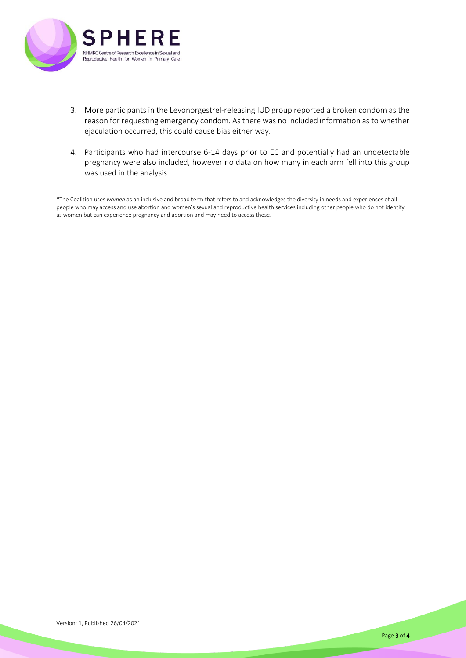

- 3. More participants in the Levonorgestrel-releasing IUD group reported a broken condom as the reason for requesting emergency condom. As there was no included information as to whether ejaculation occurred, this could cause bias either way.
- 4. Participants who had intercourse 6-14 days prior to EC and potentially had an undetectable pregnancy were also included, however no data on how many in each arm fell into this group was used in the analysis.

\*The Coalition uses *women* as an inclusive and broad term that refers to and acknowledges the diversity in needs and experiences of all people who may access and use abortion and women's sexual and reproductive health services including other people who do not identify as women but can experience pregnancy and abortion and may need to access these.